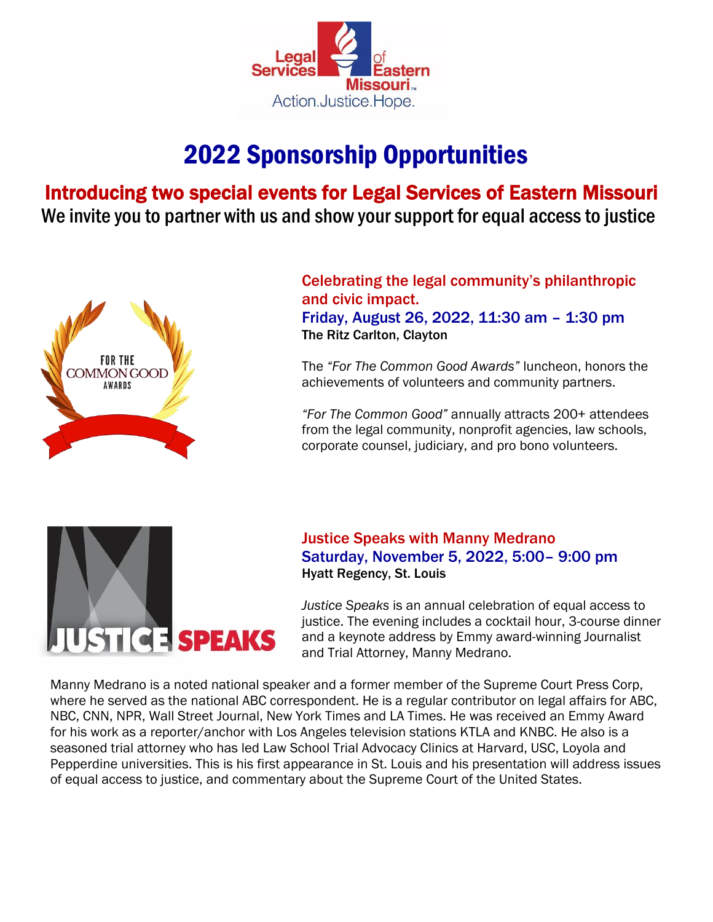

# 2022 Sponsorship Opportunities

Introducing two special events for Legal Services of Eastern Missouri We invite you to partner with us and show your support for equal access to justice



Celebrating the legal community's philanthropic and civic impact.

Friday, August 26, 2022, 11:30 am – 1:30 pm The Ritz Carlton, Clayton

The *"For The Common Good Awards"* luncheon, honors the achievements of volunteers and community partners.

*"For The Common Good"* annually attracts 200+ attendees from the legal community, nonprofit agencies, law schools, corporate counsel, judiciary, and pro bono volunteers.



Justice Speaks with Manny Medrano Saturday, November 5, 2022, 5:00– 9:00 pm Hyatt Regency, St. Louis

*Justice Speaks* is an annual celebration of equal access to justice. The evening includes a cocktail hour, 3-course dinner and a keynote address by Emmy award-winning Journalist and Trial Attorney, Manny Medrano.

Manny Medrano is a noted national speaker and a former member of the Supreme Court Press Corp, where he served as the national ABC correspondent. He is a regular contributor on legal affairs for ABC, NBC, CNN, NPR, Wall Street Journal, New York Times and LA Times. He was received an Emmy Award for his work as a reporter/anchor with Los Angeles television stations KTLA and KNBC. He also is a seasoned trial attorney who has led Law School Trial Advocacy Clinics at Harvard, USC, Loyola and Pepperdine universities. This is his first appearance in St. Louis and his presentation will address issues of equal access to justice, and commentary about the Supreme Court of the United States.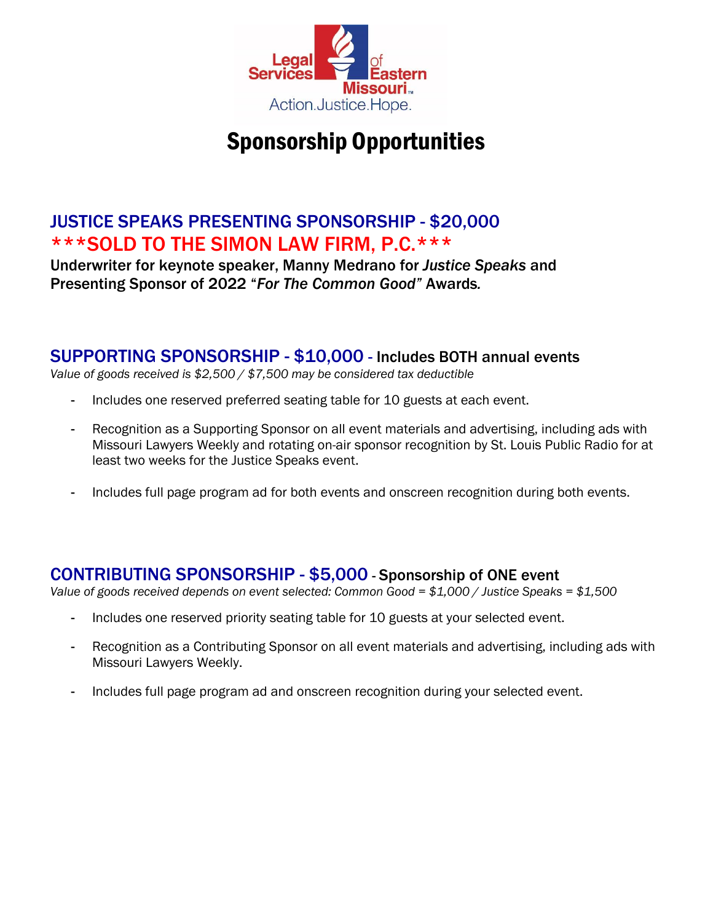

## Sponsorship Opportunities

## JUSTICE SPEAKS PRESENTING SPONSORSHIP - \$20,000 \*\*\*SOLD TO THE SIMON LAW FIRM, P.C.\*\*\*

Underwriter for keynote speaker, Manny Medrano for *Justice Speaks* and Presenting Sponsor of 2022 "*For The Common Good"* Awards*.*

### SUPPORTING SPONSORSHIP - \$10,000 - Includes BOTH annual events

*Value of goods received is \$2,500 / \$7,500 may be considered tax deductible*

- Includes one reserved preferred seating table for 10 guests at each event.
- Recognition as a Supporting Sponsor on all event materials and advertising, including ads with Missouri Lawyers Weekly and rotating on-air sponsor recognition by St. Louis Public Radio for at least two weeks for the Justice Speaks event.
- Includes full page program ad for both events and onscreen recognition during both events.

### CONTRIBUTING SPONSORSHIP - \$5,000 - Sponsorship of ONE event

*Value of goods received depends on event selected: Common Good = \$1,000 / Justice Speaks = \$1,500*

- Includes one reserved priority seating table for 10 guests at your selected event.
- Recognition as a Contributing Sponsor on all event materials and advertising, including ads with Missouri Lawyers Weekly.
- Includes full page program ad and onscreen recognition during your selected event.